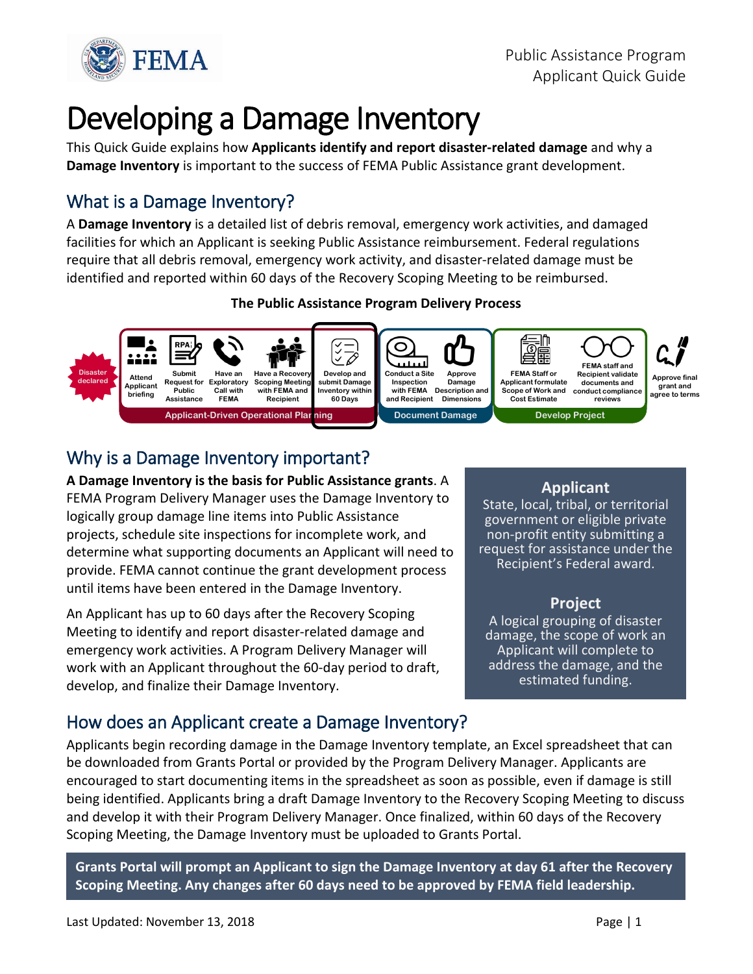

# Developing a Damage Inventory

This Quick Guide explains how **Applicants identify and report disaster-related damage** and why a **Damage Inventory** is important to the success of FEMA Public Assistance grant development.

# What is a Damage Inventory?

A **Damage Inventory** is a detailed list of debris removal, emergency work activities, and damaged facilities for which an Applicant is seeking Public Assistance reimbursement. Federal regulations require that all debris removal, emergency work activity, and disaster-related damage must be identified and reported within 60 days of the Recovery Scoping Meeting to be reimbursed.

#### **The Public Assistance Program Delivery Process**



# Why is a Damage Inventory important?

**A Damage Inventory is the basis for Public Assistance grants**. A FEMA Program Delivery Manager uses the Damage Inventory to logically group damage line items into Public Assistance projects, schedule site inspections for incomplete work, and determine what supporting documents an Applicant will need to provide. FEMA cannot continue the grant development process until items have been entered in the Damage Inventory.

An Applicant has up to 60 days after the Recovery Scoping Meeting to identify and report disaster-related damage and emergency work activities. A Program Delivery Manager will work with an Applicant throughout the 60-day period to draft, develop, and finalize their Damage Inventory.

#### **Applicant**

State, local, tribal, or territorial government or eligible private non-profit entity submitting a request for assistance under the Recipient's Federal award.

#### **Project**

A logical grouping of disaster damage, the scope of work an Applicant will complete to address the damage, and the estimated funding.

## How does an Applicant create a Damage Inventory?

Applicants begin recording damage in the Damage Inventory template, an Excel spreadsheet that can be downloaded from Grants Portal or provided by the Program Delivery Manager. Applicants are encouraged to start documenting items in the spreadsheet as soon as possible, even if damage is still being identified. Applicants bring a draft Damage Inventory to the Recovery Scoping Meeting to discuss and develop it with their Program Delivery Manager. Once finalized, within 60 days of the Recovery Scoping Meeting, the Damage Inventory must be uploaded to Grants Portal.

**Grants Portal will prompt an Applicant to sign the Damage Inventory at day 61 after the Recovery Scoping Meeting. Any changes after 60 days need to be approved by FEMA field leadership.**